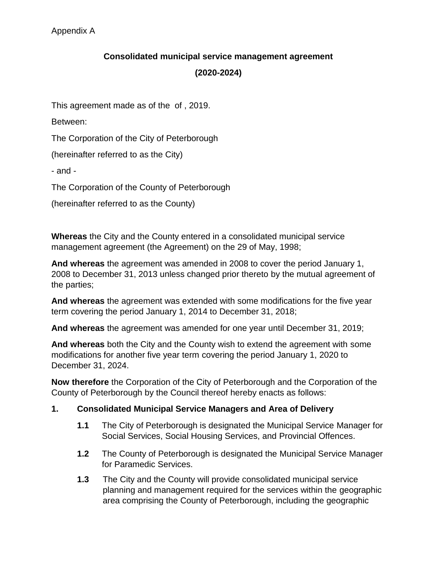## **Consolidated municipal service management agreement**

## **(2020-2024)**

This agreement made as of the of , 2019.

Between:

The Corporation of the City of Peterborough

(hereinafter referred to as the City)

- and -

The Corporation of the County of Peterborough

(hereinafter referred to as the County)

**Whereas** the City and the County entered in a consolidated municipal service management agreement (the Agreement) on the 29 of May, 1998;

**And whereas** the agreement was amended in 2008 to cover the period January 1, 2008 to December 31, 2013 unless changed prior thereto by the mutual agreement of the parties;

**And whereas** the agreement was extended with some modifications for the five year term covering the period January 1, 2014 to December 31, 2018;

**And whereas** the agreement was amended for one year until December 31, 2019;

**And whereas** both the City and the County wish to extend the agreement with some modifications for another five year term covering the period January 1, 2020 to December 31, 2024.

**Now therefore** the Corporation of the City of Peterborough and the Corporation of the County of Peterborough by the Council thereof hereby enacts as follows:

## **1. Consolidated Municipal Service Managers and Area of Delivery**

- **1.1** The City of Peterborough is designated the Municipal Service Manager for Social Services, Social Housing Services, and Provincial Offences.
- **1.2** The County of Peterborough is designated the Municipal Service Manager for Paramedic Services.
- **1.3** The City and the County will provide consolidated municipal service planning and management required for the services within the geographic area comprising the County of Peterborough, including the geographic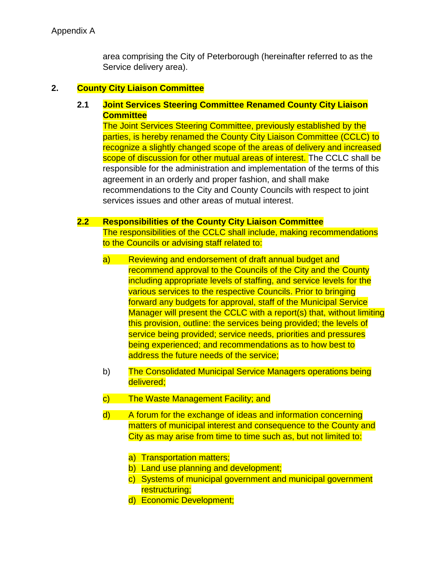area comprising the City of Peterborough (hereinafter referred to as the Service delivery area).

#### **2. County City Liaison Committee**

# **2.1 Joint Services Steering Committee Renamed County City Liaison Committee**

The Joint Services Steering Committee, previously established by the parties, is hereby renamed the County City Liaison Committee (CCLC) to recognize a slightly changed scope of the areas of delivery and increased scope of discussion for other mutual areas of interest. The CCLC shall be responsible for the administration and implementation of the terms of this agreement in an orderly and proper fashion, and shall make recommendations to the City and County Councils with respect to joint services issues and other areas of mutual interest.

#### **2.2 Responsibilities of the County City Liaison Committee**

The responsibilities of the CCLC shall include, making recommendations to the Councils or advising staff related to:

- a) Reviewing and endorsement of draft annual budget and recommend approval to the Councils of the City and the County including appropriate levels of staffing, and service levels for the various services to the respective Councils. Prior to bringing forward any budgets for approval, staff of the Municipal Service Manager will present the CCLC with a report(s) that, without limiting this provision, outline: the services being provided; the levels of service being provided; service needs, priorities and pressures being experienced; and recommendations as to how best to address the future needs of the service;
- b) The Consolidated Municipal Service Managers operations being delivered;
- c) The Waste Management Facility; and
- d) A forum for the exchange of ideas and information concerning matters of municipal interest and consequence to the County and City as may arise from time to time such as, but not limited to:
	- a) Transportation matters;
	- b) Land use planning and development;
	- c) Systems of municipal government and municipal government restructuring;
	- d) Economic Development;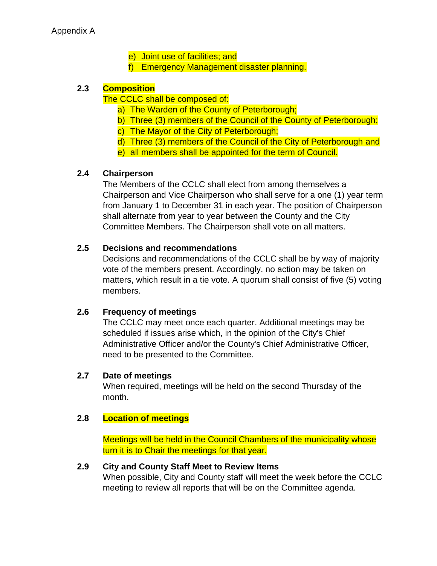Appendix A

- e) Joint use of facilities; and
- f) Emergency Management disaster planning.

## **2.3 Composition**

#### The CCLC shall be composed of:

- a) The Warden of the County of Peterborough;
- b) Three (3) members of the Council of the County of Peterborough;
- c) The Mayor of the City of Peterborough;
- d) Three (3) members of the Council of the City of Peterborough and
- e) all members shall be appointed for the term of Council.

## **2.4 Chairperson**

The Members of the CCLC shall elect from among themselves a Chairperson and Vice Chairperson who shall serve for a one (1) year term from January 1 to December 31 in each year. The position of Chairperson shall alternate from year to year between the County and the City Committee Members. The Chairperson shall vote on all matters.

#### **2.5 Decisions and recommendations**

Decisions and recommendations of the CCLC shall be by way of majority vote of the members present. Accordingly, no action may be taken on matters, which result in a tie vote. A quorum shall consist of five (5) voting members.

## **2.6 Frequency of meetings**

The CCLC may meet once each quarter. Additional meetings may be scheduled if issues arise which, in the opinion of the City's Chief Administrative Officer and/or the County's Chief Administrative Officer, need to be presented to the Committee.

#### **2.7 Date of meetings**

When required, meetings will be held on the second Thursday of the month.

#### **2.8 Location of meetings**

Meetings will be held in the Council Chambers of the municipality whose turn it is to Chair the meetings for that year.

#### **2.9 City and County Staff Meet to Review Items**

When possible, City and County staff will meet the week before the CCLC meeting to review all reports that will be on the Committee agenda.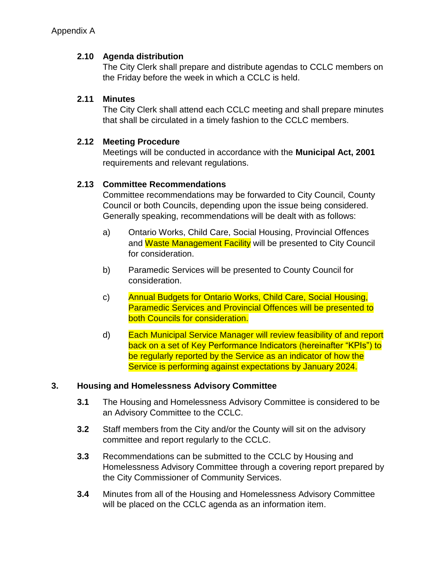# **2.10 Agenda distribution**

The City Clerk shall prepare and distribute agendas to CCLC members on the Friday before the week in which a CCLC is held.

# **2.11 Minutes**

The City Clerk shall attend each CCLC meeting and shall prepare minutes that shall be circulated in a timely fashion to the CCLC members.

# **2.12 Meeting Procedure**

Meetings will be conducted in accordance with the **Municipal Act, 2001** requirements and relevant regulations.

# **2.13 Committee Recommendations**

Committee recommendations may be forwarded to City Council, County Council or both Councils, depending upon the issue being considered. Generally speaking, recommendations will be dealt with as follows:

- a) Ontario Works, Child Care, Social Housing, Provincial Offences and Waste Management Facility will be presented to City Council for consideration.
- b) Paramedic Services will be presented to County Council for consideration.
- c) Annual Budgets for Ontario Works, Child Care, Social Housing, Paramedic Services and Provincial Offences will be presented to both Councils for consideration.
- d) Each Municipal Service Manager will review feasibility of and report back on a set of Key Performance Indicators (hereinafter "KPIs") to be regularly reported by the Service as an indicator of how the Service is performing against expectations by January 2024.

# **3. Housing and Homelessness Advisory Committee**

- **3.1** The Housing and Homelessness Advisory Committee is considered to be an Advisory Committee to the CCLC.
- **3.2** Staff members from the City and/or the County will sit on the advisory committee and report regularly to the CCLC.
- **3.3** Recommendations can be submitted to the CCLC by Housing and Homelessness Advisory Committee through a covering report prepared by the City Commissioner of Community Services.
- **3.4** Minutes from all of the Housing and Homelessness Advisory Committee will be placed on the CCLC agenda as an information item.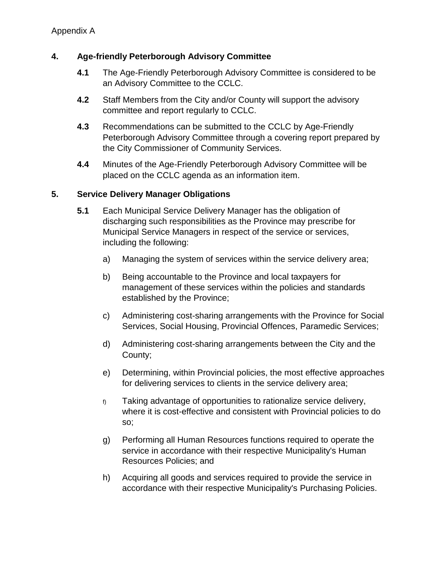## **4. Age-friendly Peterborough Advisory Committee**

- **4.1** The Age-Friendly Peterborough Advisory Committee is considered to be an Advisory Committee to the CCLC.
- **4.2** Staff Members from the City and/or County will support the advisory committee and report regularly to CCLC.
- **4.3** Recommendations can be submitted to the CCLC by Age-Friendly Peterborough Advisory Committee through a covering report prepared by the City Commissioner of Community Services.
- **4.4** Minutes of the Age-Friendly Peterborough Advisory Committee will be placed on the CCLC agenda as an information item.

## **5. Service Delivery Manager Obligations**

- **5.1** Each Municipal Service Delivery Manager has the obligation of discharging such responsibilities as the Province may prescribe for Municipal Service Managers in respect of the service or services, including the following:
	- a) Managing the system of services within the service delivery area;
	- b) Being accountable to the Province and local taxpayers for management of these services within the policies and standards established by the Province;
	- c) Administering cost-sharing arrangements with the Province for Social Services, Social Housing, Provincial Offences, Paramedic Services;
	- d) Administering cost-sharing arrangements between the City and the County;
	- e) Determining, within Provincial policies, the most effective approaches for delivering services to clients in the service delivery area;
	- $f(x)$  Taking advantage of opportunities to rationalize service delivery, where it is cost-effective and consistent with Provincial policies to do so;
	- g) Performing all Human Resources functions required to operate the service in accordance with their respective Municipality's Human Resources Policies; and
	- h) Acquiring all goods and services required to provide the service in accordance with their respective Municipality's Purchasing Policies.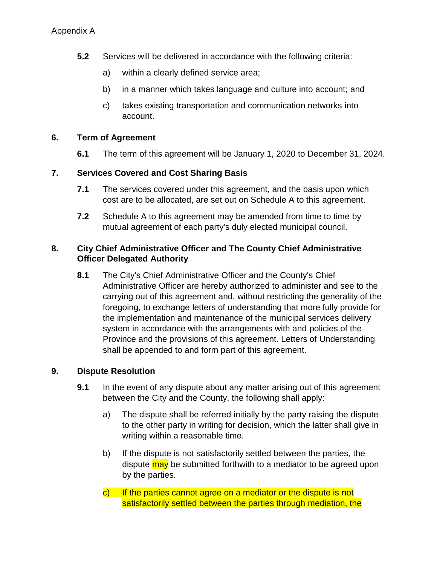- **5.2** Services will be delivered in accordance with the following criteria:
	- a) within a clearly defined service area;
	- b) in a manner which takes language and culture into account; and
	- c) takes existing transportation and communication networks into account.

# **6. Term of Agreement**

**6.1** The term of this agreement will be January 1, 2020 to December 31, 2024.

# **7. Services Covered and Cost Sharing Basis**

- **7.1** The services covered under this agreement, and the basis upon which cost are to be allocated, are set out on Schedule A to this agreement.
- **7.2** Schedule A to this agreement may be amended from time to time by mutual agreement of each party's duly elected municipal council.

# **8. City Chief Administrative Officer and The County Chief Administrative Officer Delegated Authority**

**8.1** The City's Chief Administrative Officer and the County's Chief Administrative Officer are hereby authorized to administer and see to the carrying out of this agreement and, without restricting the generality of the foregoing, to exchange letters of understanding that more fully provide for the implementation and maintenance of the municipal services delivery system in accordance with the arrangements with and policies of the Province and the provisions of this agreement. Letters of Understanding shall be appended to and form part of this agreement.

# **9. Dispute Resolution**

- **9.1** In the event of any dispute about any matter arising out of this agreement between the City and the County, the following shall apply:
	- a) The dispute shall be referred initially by the party raising the dispute to the other party in writing for decision, which the latter shall give in writing within a reasonable time.
	- b) If the dispute is not satisfactorily settled between the parties, the dispute may be submitted forthwith to a mediator to be agreed upon by the parties.
	- c) If the parties cannot agree on a mediator or the dispute is not satisfactorily settled between the parties through mediation, the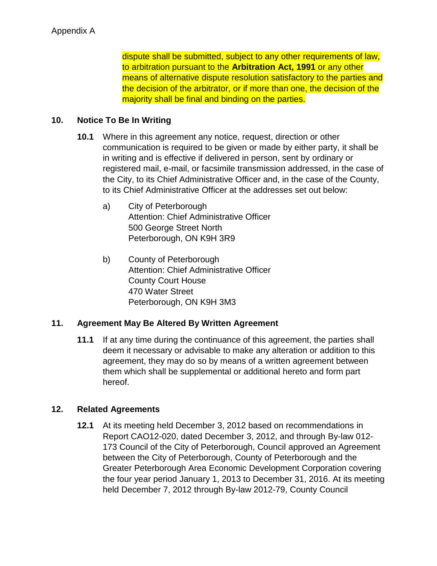dispute shall be submitted, subject to any other requirements of law, to arbitration pursuant to the **Arbitration Act, 1991** or any other means of alternative dispute resolution satisfactory to the parties and the decision of the arbitrator, or if more than one, the decision of the majority shall be final and binding on the parties.

# **10. Notice To Be In Writing**

- **10.1** Where in this agreement any notice, request, direction or other communication is required to be given or made by either party, it shall be in writing and is effective if delivered in person, sent by ordinary or registered mail, e-mail, or facsimile transmission addressed, in the case of the City, to its Chief Administrative Officer and, in the case of the County, to its Chief Administrative Officer at the addresses set out below:
	- a) City of Peterborough Attention: Chief Administrative Officer 500 George Street North Peterborough, ON K9H 3R9
	- b) County of Peterborough Attention: Chief Administrative Officer County Court House 470 Water Street Peterborough, ON K9H 3M3

# **11. Agreement May Be Altered By Written Agreement**

**11.1** If at any time during the continuance of this agreement, the parties shall deem it necessary or advisable to make any alteration or addition to this agreement, they may do so by means of a written agreement between them which shall be supplemental or additional hereto and form part hereof.

## **12. Related Agreements**

**12.1** At its meeting held December 3, 2012 based on recommendations in Report CAO12-020, dated December 3, 2012, and through By-law 012- 173 Council of the City of Peterborough, Council approved an Agreement between the City of Peterborough, County of Peterborough and the Greater Peterborough Area Economic Development Corporation covering the four year period January 1, 2013 to December 31, 2016. At its meeting held December 7, 2012 through By-law 2012-79, County Council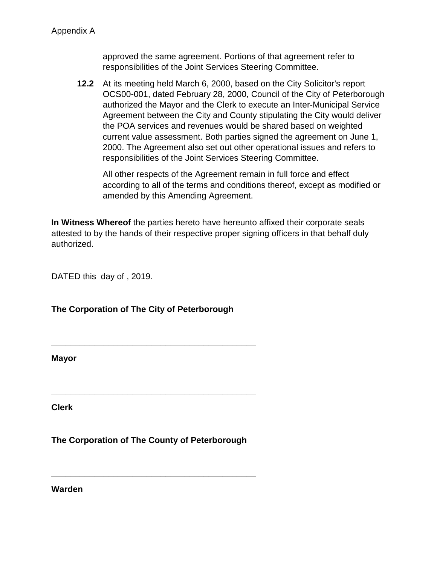approved the same agreement. Portions of that agreement refer to responsibilities of the Joint Services Steering Committee.

**12.2** At its meeting held March 6, 2000, based on the City Solicitor's report OCS00-001, dated February 28, 2000, Council of the City of Peterborough authorized the Mayor and the Clerk to execute an Inter-Municipal Service Agreement between the City and County stipulating the City would deliver the POA services and revenues would be shared based on weighted current value assessment. Both parties signed the agreement on June 1, 2000. The Agreement also set out other operational issues and refers to responsibilities of the Joint Services Steering Committee.

All other respects of the Agreement remain in full force and effect according to all of the terms and conditions thereof, except as modified or amended by this Amending Agreement.

**In Witness Whereof** the parties hereto have hereunto affixed their corporate seals attested to by the hands of their respective proper signing officers in that behalf duly authorized.

DATED this day of , 2019.

**The Corporation of The City of Peterborough**

**\_\_\_\_\_\_\_\_\_\_\_\_\_\_\_\_\_\_\_\_\_\_\_\_\_\_\_\_\_\_\_\_\_\_\_\_\_\_\_\_\_\_\_**

**\_\_\_\_\_\_\_\_\_\_\_\_\_\_\_\_\_\_\_\_\_\_\_\_\_\_\_\_\_\_\_\_\_\_\_\_\_\_\_\_\_\_\_**

**Mayor**

**Clerk**

**The Corporation of The County of Peterborough**

**\_\_\_\_\_\_\_\_\_\_\_\_\_\_\_\_\_\_\_\_\_\_\_\_\_\_\_\_\_\_\_\_\_\_\_\_\_\_\_\_\_\_\_**

**Warden**